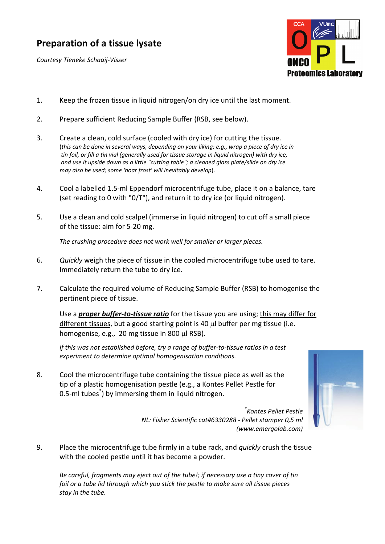## **Preparation of a tissue lysate**

*Courtesy Tieneke Schaaij‐Visser*



- 1. Keep the frozen tissue in liquid nitrogen/on dry ice until the last moment.
- 2. Prepare sufficient Reducing Sample Buffer (RSB, see below).
- 3. Create a clean, cold surface (cooled with dry ice) for cutting the tissue. (this can be done in several ways, depending on your liking: e.g., wrap a piece of dry ice in tin foil, or fill a tin vial (generally used for tissue storage in liquid nitrogen) with dry ice, and use it upside down as a little "cutting table"; a cleaned glass plate/slide on dry ice *may also be used; some 'hoar frost' will inevitably develop*).
- 4. Cool a labelled 1.5‐ml Eppendorf microcentrifuge tube, place it on a balance, tare (set reading to 0 with "0/T"), and return it to dry ice (or liquid nitrogen).
- 5. Use a clean and cold scalpel (immerse in liquid nitrogen) to cut off a small piece of the tissue: aim for 5‐20 mg.

*The crushing procedure does not work well for smaller or larger pieces.*

- 6. *Quickly* weigh the piece of tissue in the cooled microcentrifuge tube used to tare. Immediately return the tube to dry ice.
- 7. Calculate the required volume of Reducing Sample Buffer (RSB) to homogenise the pertinent piece of tissue.

Use a *proper buffer-to-tissue ratio* for the tissue you are using; this may differ for different tissues, but a good starting point is 40 μl buffer per mg tissue (i.e. homogenise, e.g., 20 mg tissue in 800 μl RSB).

If this was not established before, try a range of buffer-to-tissue ratios in a test *experiment to determine optimal homogenisation conditions.*

8. Cool the microcentrifuge tube containing the tissue piece as well as the tip of a plastic homogenisation pestle (e.g., a Kontes Pellet Pestle for 0.5‐ml tubes\* ) by immersing them in liquid nitrogen.



*\* Kontes Pellet Pestle NL: Fisher Scientific cat#6330288 ‐ Pellet stamper 0,5 ml (www.emergolab.com)* 

9. Place the microcentrifuge tube firmly in a tube rack, and *quickly* crush the tissue with the cooled pestle until it has become a powder.

*Be careful, fragments may eject out of the tube!; if necessary use a tiny cover of tin foil or a tube lid through which you stick the pestle to make sure all tissue pieces stay in the tube.*